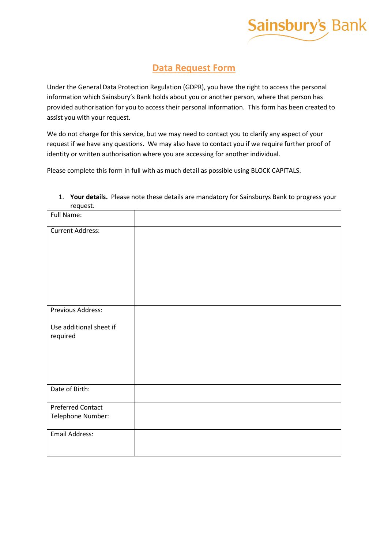

# **Data Request Form**

Under the General Data Protection Regulation (GDPR), you have the right to access the personal information which Sainsbury's Bank holds about you or another person, where that person has provided authorisation for you to access their personal information. This form has been created to assist you with your request.

We do not charge for this service, but we may need to contact you to clarify any aspect of your request if we have any questions. We may also have to contact you if we require further proof of identity or written authorisation where you are accessing for another individual.

Please complete this form in full with as much detail as possible using **BLOCK CAPITALS**.

| Full Name:                          |  |
|-------------------------------------|--|
| <b>Current Address:</b>             |  |
|                                     |  |
|                                     |  |
|                                     |  |
|                                     |  |
| Previous Address:                   |  |
| Use additional sheet if<br>required |  |
|                                     |  |
|                                     |  |
|                                     |  |
| Date of Birth:                      |  |
| <b>Preferred Contact</b>            |  |
| Telephone Number:                   |  |
| <b>Email Address:</b>               |  |
|                                     |  |

# 1. **Your details.** Please note these details are mandatory for Sainsburys Bank to progress your request.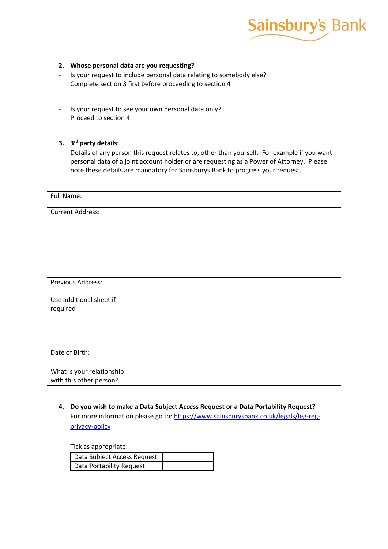

# **2. Whose personal data are you requesting?**

- Is your request to include personal data relating to somebody else? Complete section 3 first before proceeding to section 4
- Is your request to see your own personal data only? Proceed to section 4

# **3. 3 rd party details:**

Details of any person this request relates to, other than yourself. For example if you want personal data of a joint account holder or are requesting as a Power of Attorney. Please note these details are mandatory for Sainsburys Bank to progress your request.

| Full Name:                          |  |
|-------------------------------------|--|
| <b>Current Address:</b>             |  |
| Previous Address:                   |  |
| Use additional sheet if<br>required |  |
| Date of Birth:                      |  |
| What is your relationship           |  |
| with this other person?             |  |

**4. Do you wish to make a Data Subject Access Request or a Data Portability Request?** For more information please go to: [https://www.sainsburysbank.co.uk/legals/leg-reg](https://www.sainsburysbank.co.uk/legals/leg-reg-privacy-policy)[privacy-policy](https://www.sainsburysbank.co.uk/legals/leg-reg-privacy-policy)

Tick as appropriate:

| Data Subject Access Request |  |
|-----------------------------|--|
| Data Portability Request    |  |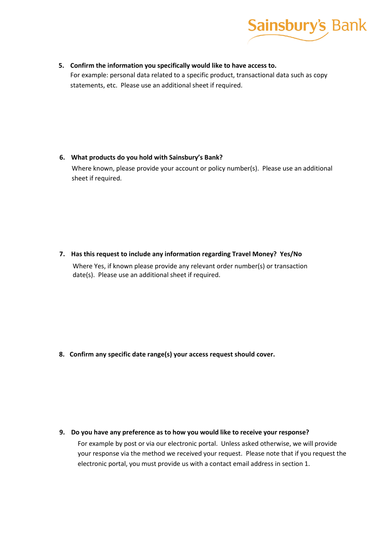

**5. Confirm the information you specifically would like to have access to.** For example: personal data related to a specific product, transactional data such as copy statements, etc. Please use an additional sheet if required.

# **6. What products do you hold with Sainsbury's Bank?**

Where known, please provide your account or policy number(s). Please use an additional sheet if required.

**7. Has this request to include any information regarding Travel Money? Yes/No**

Where Yes, if known please provide any relevant order number(s) or transaction date(s). Please use an additional sheet if required.

**8. Confirm any specific date range(s) your access request should cover.**

**9. Do you have any preference as to how you would like to receive your response?**

For example by post or via our electronic portal. Unless asked otherwise, we will provide your response via the method we received your request. Please note that if you request the electronic portal, you must provide us with a contact email address in section 1.